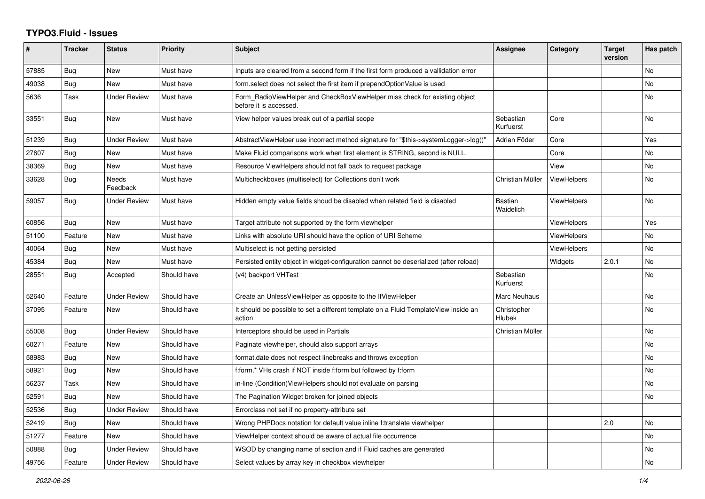## **TYPO3.Fluid - Issues**

| #     | <b>Tracker</b> | <b>Status</b>            | Priority    | <b>Subject</b>                                                                                       | <b>Assignee</b>        | Category           | <b>Target</b><br>version | Has patch      |
|-------|----------------|--------------------------|-------------|------------------------------------------------------------------------------------------------------|------------------------|--------------------|--------------------------|----------------|
| 57885 | Bug            | <b>New</b>               | Must have   | Inputs are cleared from a second form if the first form produced a vallidation error                 |                        |                    |                          | N <sub>o</sub> |
| 49038 | Bug            | <b>New</b>               | Must have   | form select does not select the first item if prependOptionValue is used                             |                        |                    |                          | No             |
| 5636  | Task           | <b>Under Review</b>      | Must have   | Form RadioViewHelper and CheckBoxViewHelper miss check for existing object<br>before it is accessed. |                        |                    |                          | No             |
| 33551 | Bug            | <b>New</b>               | Must have   | View helper values break out of a partial scope                                                      | Sebastian<br>Kurfuerst | Core               |                          | <b>No</b>      |
| 51239 | Bug            | <b>Under Review</b>      | Must have   | AbstractViewHelper use incorrect method signature for "\$this->systemLogger->log()"                  | Adrian Föder           | Core               |                          | Yes            |
| 27607 | <b>Bug</b>     | New                      | Must have   | Make Fluid comparisons work when first element is STRING, second is NULL.                            |                        | Core               |                          | No.            |
| 38369 | Bug            | New                      | Must have   | Resource ViewHelpers should not fall back to request package                                         |                        | View               |                          | No             |
| 33628 | <b>Bug</b>     | <b>Needs</b><br>Feedback | Must have   | Multicheckboxes (multiselect) for Collections don't work                                             | Christian Müller       | <b>ViewHelpers</b> |                          | <b>No</b>      |
| 59057 | Bug            | <b>Under Review</b>      | Must have   | Hidden empty value fields shoud be disabled when related field is disabled                           | Bastian<br>Waidelich   | ViewHelpers        |                          | <b>No</b>      |
| 60856 | Bug            | <b>New</b>               | Must have   | Target attribute not supported by the form viewhelper                                                |                        | <b>ViewHelpers</b> |                          | Yes            |
| 51100 | Feature        | New                      | Must have   | Links with absolute URI should have the option of URI Scheme                                         |                        | <b>ViewHelpers</b> |                          | <b>No</b>      |
| 40064 | Bug            | New                      | Must have   | Multiselect is not getting persisted                                                                 |                        | <b>ViewHelpers</b> |                          | No             |
| 45384 | Bug            | <b>New</b>               | Must have   | Persisted entity object in widget-configuration cannot be deserialized (after reload)                |                        | Widgets            | 2.0.1                    | <b>No</b>      |
| 28551 | <b>Bug</b>     | Accepted                 | Should have | (v4) backport VHTest                                                                                 | Sebastian<br>Kurfuerst |                    |                          | No             |
| 52640 | Feature        | <b>Under Review</b>      | Should have | Create an UnlessViewHelper as opposite to the IfViewHelper                                           | Marc Neuhaus           |                    |                          | No             |
| 37095 | Feature        | New                      | Should have | It should be possible to set a different template on a Fluid TemplateView inside an<br>action        | Christopher<br>Hlubek  |                    |                          | No             |
| 55008 | Bug            | <b>Under Review</b>      | Should have | Interceptors should be used in Partials                                                              | Christian Müller       |                    |                          | <b>No</b>      |
| 60271 | Feature        | <b>New</b>               | Should have | Paginate viewhelper, should also support arrays                                                      |                        |                    |                          | No             |
| 58983 | Bug            | <b>New</b>               | Should have | format.date does not respect linebreaks and throws exception                                         |                        |                    |                          | <b>No</b>      |
| 58921 | Bug            | <b>New</b>               | Should have | f:form.* VHs crash if NOT inside f:form but followed by f:form                                       |                        |                    |                          | No             |
| 56237 | Task           | <b>New</b>               | Should have | in-line (Condition) View Helpers should not evaluate on parsing                                      |                        |                    |                          | No             |
| 52591 | <b>Bug</b>     | New                      | Should have | The Pagination Widget broken for joined objects                                                      |                        |                    |                          | N <sub>o</sub> |
| 52536 | Bug            | <b>Under Review</b>      | Should have | Errorclass not set if no property-attribute set                                                      |                        |                    |                          |                |
| 52419 | Bug            | <b>New</b>               | Should have | Wrong PHPDocs notation for default value inline f:translate viewhelper                               |                        |                    | 2.0                      | No             |
| 51277 | Feature        | <b>New</b>               | Should have | ViewHelper context should be aware of actual file occurrence                                         |                        |                    |                          | <b>No</b>      |
| 50888 | Bug            | <b>Under Review</b>      | Should have | WSOD by changing name of section and if Fluid caches are generated                                   |                        |                    |                          | No             |
| 49756 | Feature        | <b>Under Review</b>      | Should have | Select values by array key in checkbox viewhelper                                                    |                        |                    |                          | No             |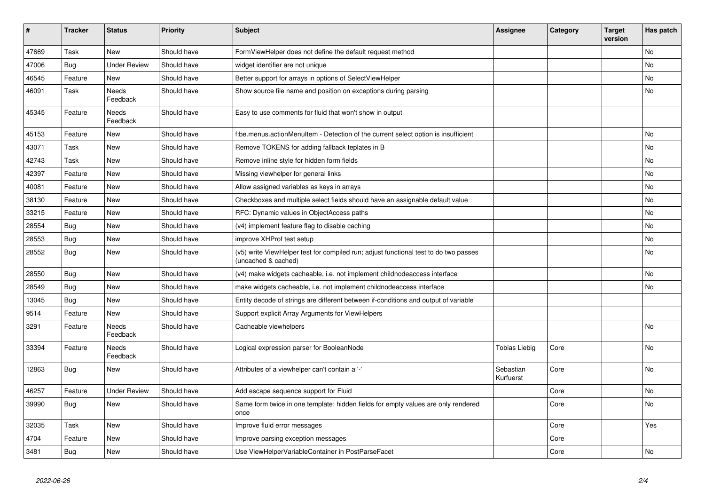| $\vert$ # | <b>Tracker</b> | <b>Status</b>            | <b>Priority</b> | <b>Subject</b>                                                                                              | <b>Assignee</b>        | Category | <b>Target</b><br>version | Has patch |
|-----------|----------------|--------------------------|-----------------|-------------------------------------------------------------------------------------------------------------|------------------------|----------|--------------------------|-----------|
| 47669     | Task           | <b>New</b>               | Should have     | FormViewHelper does not define the default request method                                                   |                        |          |                          | <b>No</b> |
| 47006     | Bug            | <b>Under Review</b>      | Should have     | widget identifier are not unique                                                                            |                        |          |                          | <b>No</b> |
| 46545     | Feature        | New                      | Should have     | Better support for arrays in options of SelectViewHelper                                                    |                        |          |                          | No        |
| 46091     | Task           | <b>Needs</b><br>Feedback | Should have     | Show source file name and position on exceptions during parsing                                             |                        |          |                          | No        |
| 45345     | Feature        | <b>Needs</b><br>Feedback | Should have     | Easy to use comments for fluid that won't show in output                                                    |                        |          |                          |           |
| 45153     | Feature        | New                      | Should have     | f:be.menus.actionMenuItem - Detection of the current select option is insufficient                          |                        |          |                          | <b>No</b> |
| 43071     | Task           | <b>New</b>               | Should have     | Remove TOKENS for adding fallback teplates in B                                                             |                        |          |                          | <b>No</b> |
| 42743     | Task           | <b>New</b>               | Should have     | Remove inline style for hidden form fields                                                                  |                        |          |                          | No        |
| 42397     | Feature        | New                      | Should have     | Missing viewhelper for general links                                                                        |                        |          |                          | <b>No</b> |
| 40081     | Feature        | New                      | Should have     | Allow assigned variables as keys in arrays                                                                  |                        |          |                          | <b>No</b> |
| 38130     | Feature        | <b>New</b>               | Should have     | Checkboxes and multiple select fields should have an assignable default value                               |                        |          |                          | <b>No</b> |
| 33215     | Feature        | New                      | Should have     | RFC: Dynamic values in ObjectAccess paths                                                                   |                        |          |                          | <b>No</b> |
| 28554     | Bug            | <b>New</b>               | Should have     | (v4) implement feature flag to disable caching                                                              |                        |          |                          | <b>No</b> |
| 28553     | <b>Bug</b>     | New                      | Should have     | improve XHProf test setup                                                                                   |                        |          |                          | <b>No</b> |
| 28552     | Bug            | New                      | Should have     | (v5) write ViewHelper test for compiled run; adjust functional test to do two passes<br>(uncached & cached) |                        |          |                          | No        |
| 28550     | <b>Bug</b>     | New                      | Should have     | (v4) make widgets cacheable, i.e. not implement childnodeaccess interface                                   |                        |          |                          | <b>No</b> |
| 28549     | Bug            | New                      | Should have     | make widgets cacheable, i.e. not implement childnodeaccess interface                                        |                        |          |                          | No        |
| 13045     | Bug            | <b>New</b>               | Should have     | Entity decode of strings are different between if-conditions and output of variable                         |                        |          |                          |           |
| 9514      | Feature        | New                      | Should have     | Support explicit Array Arguments for ViewHelpers                                                            |                        |          |                          |           |
| 3291      | Feature        | Needs<br>Feedback        | Should have     | Cacheable viewhelpers                                                                                       |                        |          |                          | <b>No</b> |
| 33394     | Feature        | <b>Needs</b><br>Feedback | Should have     | Logical expression parser for BooleanNode                                                                   | Tobias Liebig          | Core     |                          | <b>No</b> |
| 12863     | Bug            | New                      | Should have     | Attributes of a viewhelper can't contain a '-'                                                              | Sebastian<br>Kurfuerst | Core     |                          | <b>No</b> |
| 46257     | Feature        | <b>Under Review</b>      | Should have     | Add escape sequence support for Fluid                                                                       |                        | Core     |                          | No        |
| 39990     | <b>Bug</b>     | New                      | Should have     | Same form twice in one template: hidden fields for empty values are only rendered<br>once                   |                        | Core     |                          | No        |
| 32035     | Task           | <b>New</b>               | Should have     | Improve fluid error messages                                                                                |                        | Core     |                          | Yes       |
| 4704      | Feature        | New                      | Should have     | Improve parsing exception messages                                                                          |                        | Core     |                          |           |
| 3481      | <b>Bug</b>     | New                      | Should have     | Use ViewHelperVariableContainer in PostParseFacet                                                           |                        | Core     |                          | No        |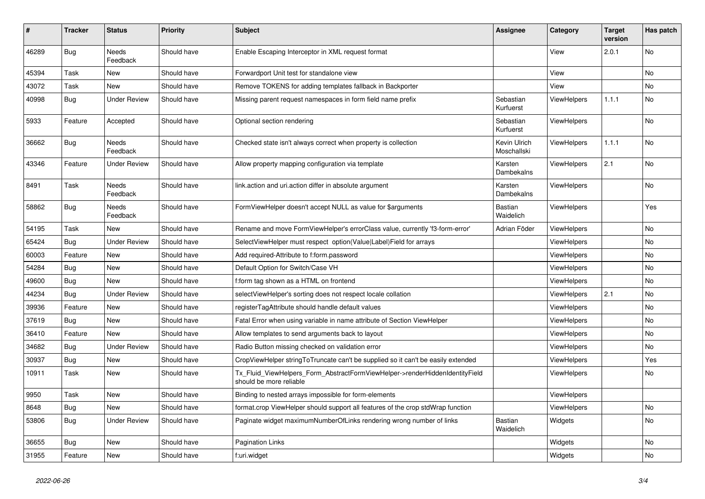| #     | <b>Tracker</b> | <b>Status</b>            | <b>Priority</b> | <b>Subject</b>                                                                                         | Assignee                    | Category           | Target<br>version | Has patch |
|-------|----------------|--------------------------|-----------------|--------------------------------------------------------------------------------------------------------|-----------------------------|--------------------|-------------------|-----------|
| 46289 | <b>Bug</b>     | Needs<br>Feedback        | Should have     | Enable Escaping Interceptor in XML request format                                                      |                             | View               | 2.0.1             | No        |
| 45394 | Task           | New                      | Should have     | Forwardport Unit test for standalone view                                                              |                             | View               |                   | No        |
| 43072 | Task           | <b>New</b>               | Should have     | Remove TOKENS for adding templates fallback in Backporter                                              |                             | View               |                   | No.       |
| 40998 | Bug            | <b>Under Review</b>      | Should have     | Missing parent request namespaces in form field name prefix                                            | Sebastian<br>Kurfuerst      | <b>ViewHelpers</b> | 1.1.1             | No        |
| 5933  | Feature        | Accepted                 | Should have     | Optional section rendering                                                                             | Sebastian<br>Kurfuerst      | ViewHelpers        |                   | No        |
| 36662 | <b>Bug</b>     | <b>Needs</b><br>Feedback | Should have     | Checked state isn't always correct when property is collection                                         | Kevin Ulrich<br>Moschallski | ViewHelpers        | 1.1.1             | <b>No</b> |
| 43346 | Feature        | <b>Under Review</b>      | Should have     | Allow property mapping configuration via template                                                      | Karsten<br>Dambekalns       | <b>ViewHelpers</b> | 2.1               | No        |
| 8491  | Task           | <b>Needs</b><br>Feedback | Should have     | link action and uri action differ in absolute argument                                                 | Karsten<br>Dambekalns       | ViewHelpers        |                   | No        |
| 58862 | Bug            | <b>Needs</b><br>Feedback | Should have     | FormViewHelper doesn't accept NULL as value for \$arguments                                            | Bastian<br>Waidelich        | ViewHelpers        |                   | Yes       |
| 54195 | Task           | New                      | Should have     | Rename and move FormViewHelper's errorClass value, currently 'f3-form-error'                           | Adrian Föder                | ViewHelpers        |                   | No        |
| 65424 | Bug            | <b>Under Review</b>      | Should have     | SelectViewHelper must respect option(Value Label)Field for arrays                                      |                             | <b>ViewHelpers</b> |                   | No        |
| 60003 | Feature        | New                      | Should have     | Add required-Attribute to f:form.password                                                              |                             | ViewHelpers        |                   | No        |
| 54284 | Bug            | New                      | Should have     | Default Option for Switch/Case VH                                                                      |                             | <b>ViewHelpers</b> |                   | No        |
| 49600 | <b>Bug</b>     | New                      | Should have     | f:form tag shown as a HTML on frontend                                                                 |                             | <b>ViewHelpers</b> |                   | No        |
| 44234 | Bug            | <b>Under Review</b>      | Should have     | selectViewHelper's sorting does not respect locale collation                                           |                             | <b>ViewHelpers</b> | 2.1               | No.       |
| 39936 | Feature        | New                      | Should have     | registerTagAttribute should handle default values                                                      |                             | <b>ViewHelpers</b> |                   | No        |
| 37619 | Bug            | New                      | Should have     | Fatal Error when using variable in name attribute of Section ViewHelper                                |                             | <b>ViewHelpers</b> |                   | No        |
| 36410 | Feature        | <b>New</b>               | Should have     | Allow templates to send arguments back to layout                                                       |                             | <b>ViewHelpers</b> |                   | No        |
| 34682 | <b>Bug</b>     | <b>Under Review</b>      | Should have     | Radio Button missing checked on validation error                                                       |                             | <b>ViewHelpers</b> |                   | No        |
| 30937 | <b>Bug</b>     | New                      | Should have     | CropViewHelper stringToTruncate can't be supplied so it can't be easily extended                       |                             | <b>ViewHelpers</b> |                   | Yes       |
| 10911 | Task           | New                      | Should have     | Tx Fluid ViewHelpers Form AbstractFormViewHelper->renderHiddenIdentityField<br>should be more reliable |                             | <b>ViewHelpers</b> |                   | No        |
| 9950  | Task           | New                      | Should have     | Binding to nested arrays impossible for form-elements                                                  |                             | ViewHelpers        |                   |           |
| 8648  | Bug            | <b>New</b>               | Should have     | format.crop ViewHelper should support all features of the crop stdWrap function                        |                             | ViewHelpers        |                   | No        |
| 53806 | Bug            | <b>Under Review</b>      | Should have     | Paginate widget maximumNumberOfLinks rendering wrong number of links                                   | <b>Bastian</b><br>Waidelich | Widgets            |                   | No        |
| 36655 | Bug            | <b>New</b>               | Should have     | <b>Pagination Links</b>                                                                                |                             | Widgets            |                   | <b>No</b> |
| 31955 | Feature        | New                      | Should have     | f:uri.widget                                                                                           |                             | Widgets            |                   | No        |